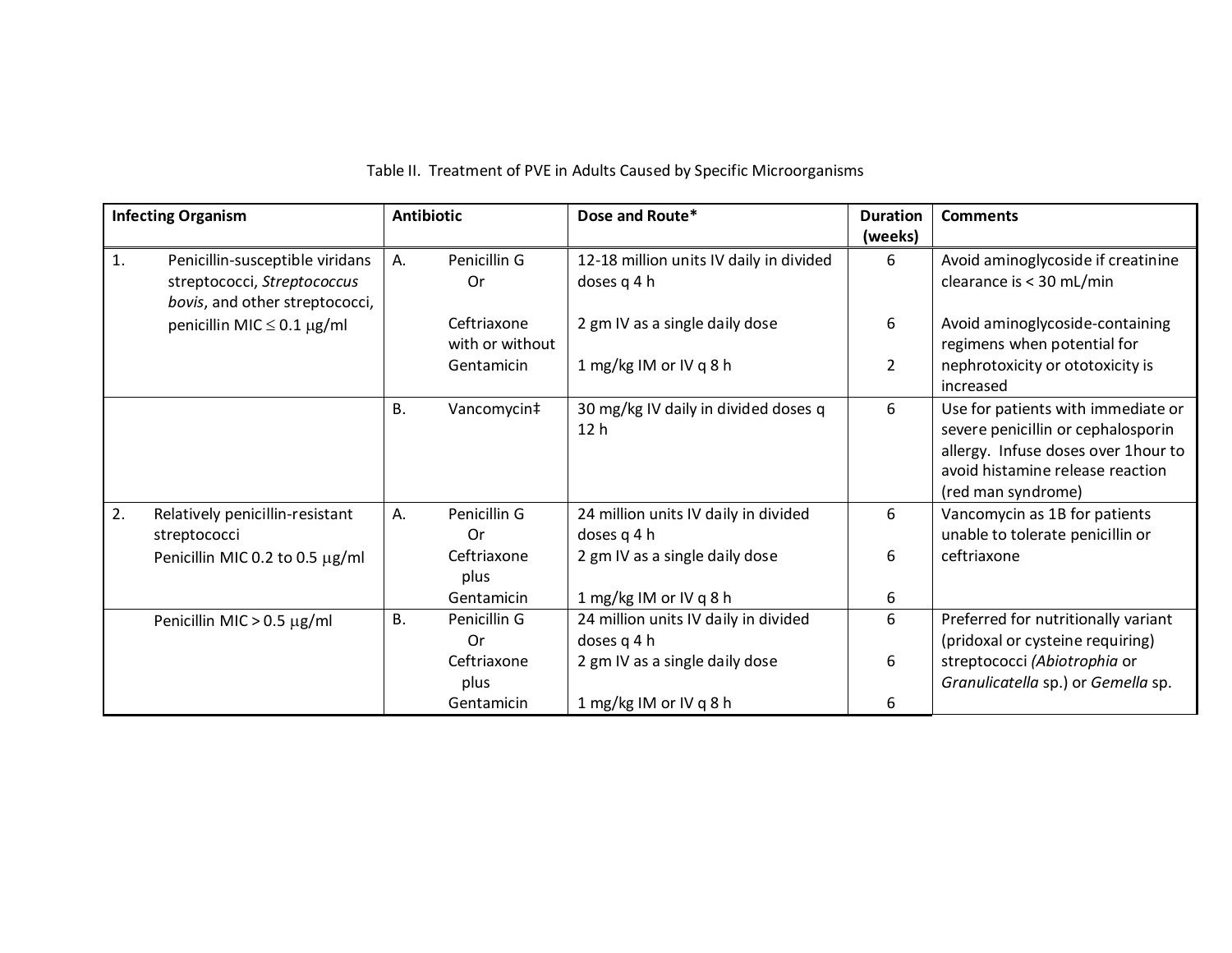| <b>Infecting Organism</b> |                                                                                                  | <b>Antibiotic</b> |                                | Dose and Route*                                         | <b>Duration</b><br>(weeks) | <b>Comments</b>                                                                                                                                                           |
|---------------------------|--------------------------------------------------------------------------------------------------|-------------------|--------------------------------|---------------------------------------------------------|----------------------------|---------------------------------------------------------------------------------------------------------------------------------------------------------------------------|
| $\mathbf{1}$ .            | Penicillin-susceptible viridans<br>streptococci, Streptococcus<br>bovis, and other streptococci, | А.                | Penicillin G<br>. Or           | 12-18 million units IV daily in divided<br>doses q 4 h  | 6                          | Avoid aminoglycoside if creatinine<br>clearance is < 30 mL/min                                                                                                            |
|                           | penicillin MIC $\leq$ 0.1 µg/ml                                                                  |                   | Ceftriaxone<br>with or without | 2 gm IV as a single daily dose                          | 6                          | Avoid aminoglycoside-containing<br>regimens when potential for                                                                                                            |
|                           |                                                                                                  |                   | Gentamicin                     | 1 mg/kg IM or IV q 8 h                                  | $\overline{2}$             | nephrotoxicity or ototoxicity is<br>increased                                                                                                                             |
|                           |                                                                                                  | <b>B.</b>         | Vancomycin‡                    | 30 mg/kg IV daily in divided doses q<br>12 <sub>h</sub> | 6                          | Use for patients with immediate or<br>severe penicillin or cephalosporin<br>allergy. Infuse doses over 1hour to<br>avoid histamine release reaction<br>(red man syndrome) |
| 2.                        | Relatively penicillin-resistant<br>streptococci                                                  | Α.                | Penicillin G<br>0r             | 24 million units IV daily in divided<br>doses q 4 h     | 6                          | Vancomycin as 1B for patients<br>unable to tolerate penicillin or                                                                                                         |
|                           | Penicillin MIC 0.2 to 0.5 µg/ml                                                                  |                   | Ceftriaxone<br>plus            | 2 gm IV as a single daily dose                          | 6                          | ceftriaxone                                                                                                                                                               |
|                           |                                                                                                  |                   | Gentamicin                     | 1 mg/kg IM or IV q 8 h                                  | 6                          |                                                                                                                                                                           |
|                           | Penicillin MIC $> 0.5 \mu g/ml$                                                                  | <b>B.</b>         | Penicillin G<br>0r             | 24 million units IV daily in divided<br>doses q 4 h     | 6                          | Preferred for nutritionally variant<br>(pridoxal or cysteine requiring)                                                                                                   |
|                           |                                                                                                  |                   | Ceftriaxone<br>plus            | 2 gm IV as a single daily dose                          | 6                          | streptococci (Abiotrophia or<br>Granulicatella sp.) or Gemella sp.                                                                                                        |
|                           |                                                                                                  |                   | Gentamicin                     | 1 mg/kg IM or IV q 8 h                                  | 6                          |                                                                                                                                                                           |

## Table II. Treatment of PVE in Adults Caused by Specific Microorganisms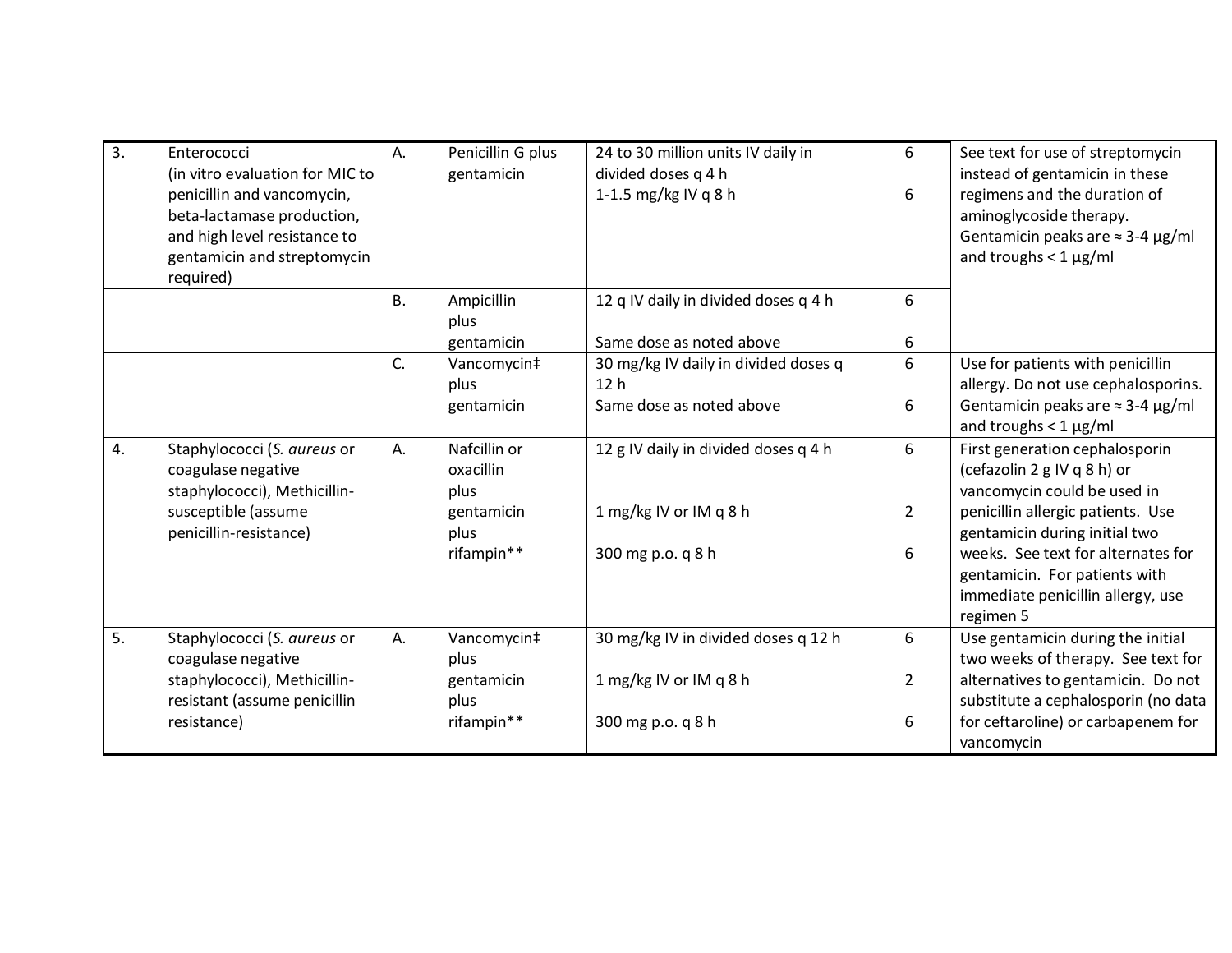| 3. | Enterococci<br>(in vitro evaluation for MIC to<br>penicillin and vancomycin,<br>beta-lactamase production,<br>and high level resistance to<br>gentamicin and streptomycin<br>required) | А.        | Penicillin G plus<br>gentamicin   | 24 to 30 million units IV daily in<br>divided doses q 4 h<br>1-1.5 mg/kg IV q 8 h | 6<br>6      | See text for use of streptomycin<br>instead of gentamicin in these<br>regimens and the duration of<br>aminoglycoside therapy.<br>Gentamicin peaks are $\approx$ 3-4 $\mu$ g/ml<br>and troughs $<$ 1 $\mu$ g/ml |
|----|----------------------------------------------------------------------------------------------------------------------------------------------------------------------------------------|-----------|-----------------------------------|-----------------------------------------------------------------------------------|-------------|----------------------------------------------------------------------------------------------------------------------------------------------------------------------------------------------------------------|
|    |                                                                                                                                                                                        | <b>B.</b> | Ampicillin<br>plus                | 12 q IV daily in divided doses q 4 h<br>Same dose as noted above                  | 6<br>6      |                                                                                                                                                                                                                |
|    |                                                                                                                                                                                        |           | gentamicin                        |                                                                                   |             |                                                                                                                                                                                                                |
|    |                                                                                                                                                                                        | C.        | Vancomycin‡                       | 30 mg/kg IV daily in divided doses q                                              | 6           | Use for patients with penicillin                                                                                                                                                                               |
|    |                                                                                                                                                                                        |           | plus                              | 12 <sub>h</sub>                                                                   |             | allergy. Do not use cephalosporins.                                                                                                                                                                            |
|    |                                                                                                                                                                                        |           | gentamicin                        | Same dose as noted above                                                          | 6           | Gentamicin peaks are $\approx$ 3-4 µg/ml                                                                                                                                                                       |
|    |                                                                                                                                                                                        |           |                                   |                                                                                   |             | and troughs $<$ 1 $\mu$ g/ml                                                                                                                                                                                   |
| 4. | Staphylococci (S. aureus or<br>coagulase negative<br>staphylococci), Methicillin-                                                                                                      | Α.        | Nafcillin or<br>oxacillin<br>plus | 12 g IV daily in divided doses q 4 h                                              | 6           | First generation cephalosporin<br>(cefazolin 2 g IV q 8 h) or<br>vancomycin could be used in                                                                                                                   |
|    | susceptible (assume<br>penicillin-resistance)                                                                                                                                          |           | gentamicin<br>plus                | 1 mg/kg IV or IM q 8 h                                                            | $2^{\circ}$ | penicillin allergic patients. Use<br>gentamicin during initial two                                                                                                                                             |
|    |                                                                                                                                                                                        |           | rifampin**                        | 300 mg p.o. q 8 h                                                                 | 6           | weeks. See text for alternates for<br>gentamicin. For patients with<br>immediate penicillin allergy, use<br>regimen 5                                                                                          |
| 5. | Staphylococci (S. aureus or<br>coagulase negative                                                                                                                                      | Α.        | Vancomycin‡<br>plus               | 30 mg/kg IV in divided doses q 12 h                                               | 6           | Use gentamicin during the initial<br>two weeks of therapy. See text for                                                                                                                                        |
|    | staphylococci), Methicillin-<br>resistant (assume penicillin                                                                                                                           |           | gentamicin<br>plus                | 1 mg/kg IV or IM q 8 h                                                            | $2^{\circ}$ | alternatives to gentamicin. Do not<br>substitute a cephalosporin (no data                                                                                                                                      |
|    | resistance)                                                                                                                                                                            |           | rifampin**                        | 300 mg p.o. q 8 h                                                                 | 6           | for ceftaroline) or carbapenem for<br>vancomycin                                                                                                                                                               |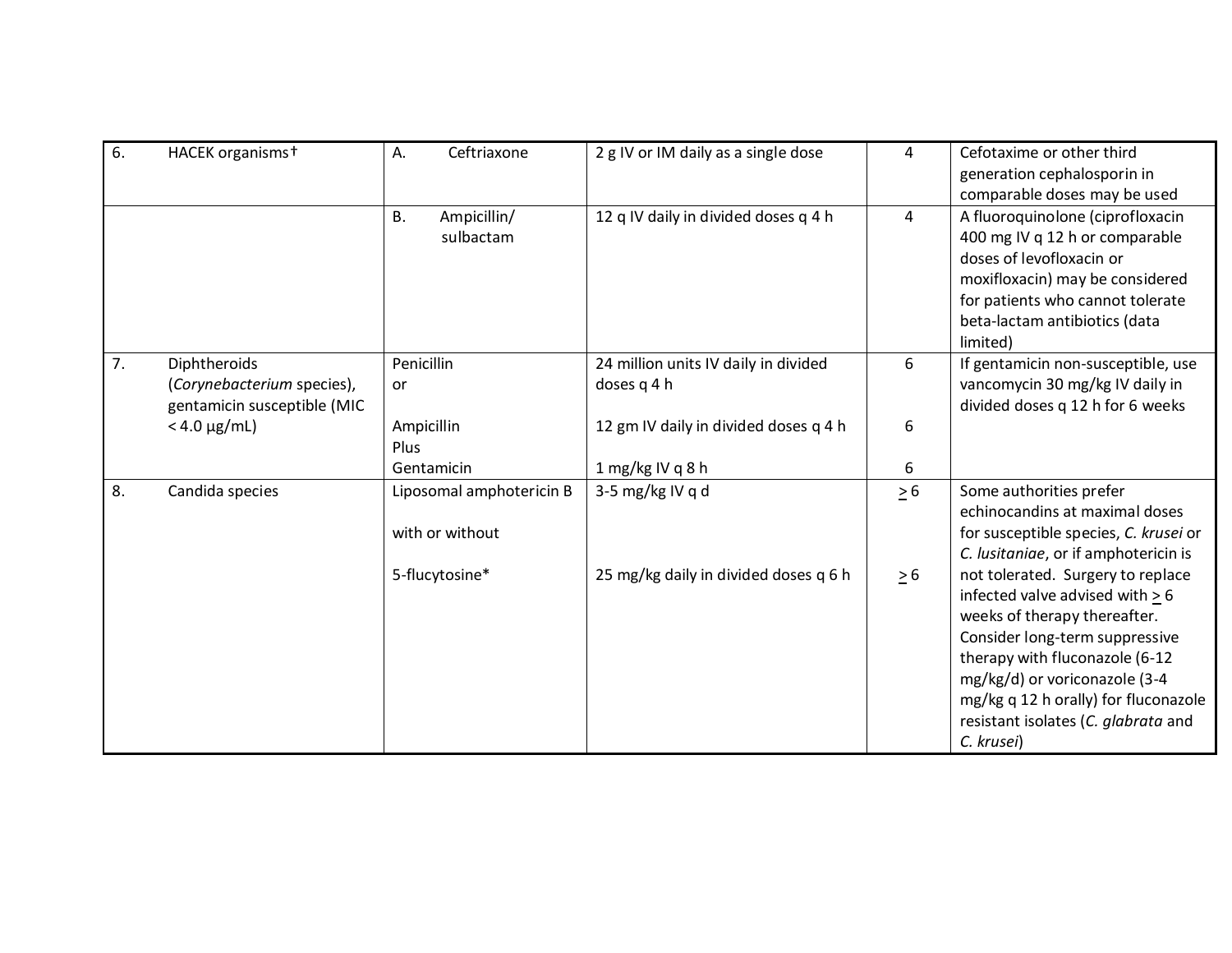| $\overline{6}$ . | HACEK organisms+            | Ceftriaxone<br>Α.        | 2 g IV or IM daily as a single dose   | 4              | Cefotaxime or other third<br>generation cephalosporin in       |
|------------------|-----------------------------|--------------------------|---------------------------------------|----------------|----------------------------------------------------------------|
|                  |                             |                          |                                       |                | comparable doses may be used                                   |
|                  |                             | <b>B.</b><br>Ampicillin/ | 12 q IV daily in divided doses q 4 h  | $\overline{4}$ | A fluoroquinolone (ciprofloxacin                               |
|                  |                             | sulbactam                |                                       |                | 400 mg IV q 12 h or comparable                                 |
|                  |                             |                          |                                       |                | doses of levofloxacin or                                       |
|                  |                             |                          |                                       |                | moxifloxacin) may be considered                                |
|                  |                             |                          |                                       |                | for patients who cannot tolerate                               |
|                  |                             |                          |                                       |                | beta-lactam antibiotics (data<br>limited)                      |
| 7.               | Diphtheroids                | Penicillin               | 24 million units IV daily in divided  | 6              | If gentamicin non-susceptible, use                             |
|                  | (Corynebacterium species),  | or                       | doses q 4 h                           |                | vancomycin 30 mg/kg IV daily in                                |
|                  | gentamicin susceptible (MIC |                          |                                       |                | divided doses q 12 h for 6 weeks                               |
|                  | $< 4.0 \mu g/mL$            | Ampicillin               | 12 gm IV daily in divided doses q 4 h | 6              |                                                                |
|                  |                             | Plus                     |                                       |                |                                                                |
|                  |                             | Gentamicin               | 1 mg/kg IV q 8 h                      | 6              |                                                                |
| 8.               | Candida species             | Liposomal amphotericin B | 3-5 mg/kg IV q d                      | $\geq 6$       | Some authorities prefer                                        |
|                  |                             |                          |                                       |                | echinocandins at maximal doses                                 |
|                  |                             | with or without          |                                       |                | for susceptible species, C. krusei or                          |
|                  |                             |                          |                                       |                | C. lusitaniae, or if amphotericin is                           |
|                  |                             | 5-flucytosine*           | 25 mg/kg daily in divided doses q 6 h | $\geq 6$       | not tolerated. Surgery to replace                              |
|                  |                             |                          |                                       |                | infected valve advised with $\geq 6$                           |
|                  |                             |                          |                                       |                | weeks of therapy thereafter.<br>Consider long-term suppressive |
|                  |                             |                          |                                       |                | therapy with fluconazole (6-12                                 |
|                  |                             |                          |                                       |                | mg/kg/d) or voriconazole (3-4                                  |
|                  |                             |                          |                                       |                | mg/kg q 12 h orally) for fluconazole                           |
|                  |                             |                          |                                       |                | resistant isolates (C. glabrata and                            |
|                  |                             |                          |                                       |                | C. krusei)                                                     |